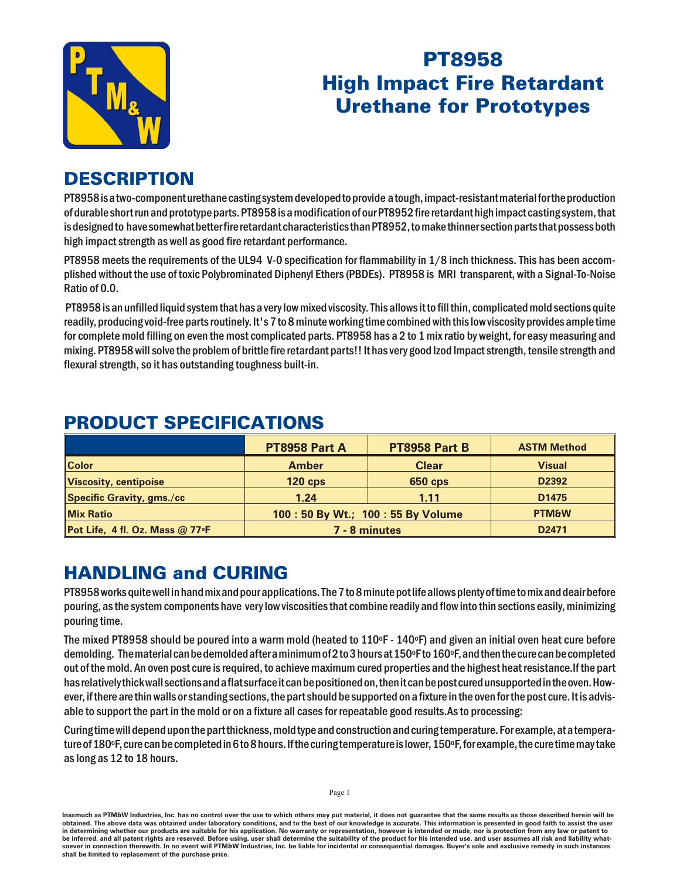

# **PT8958 High Impact Fire Retardant Urethane for Prototypes**

# **DESCRIPTION**

PT8958 is a two-component urethane casting system developed to provide a tough, impact-resistant material for the production of durable short run and prototype parts. PT8958 is a modification of our PT8952 fire retardant high impact casting system, that is designed to have somewhat better fire retardant characteristics than PT8952, to make thinner section parts that possess both high impact strength as well as good fire retardant performance.

PT8958 meets the requirements of the UL94 V-O specification for flammability in 1/8 inch thickness. This has been accomplished without the use of toxic Polybrominated Diphenyl Ethers (PBDEs). PT8958 is MRI transparent, with a Signal-To-Noise Ratio of 0.0.

PT8958 is an unfilled liquid system that has a very low mixed viscosity. This allows it to fill thin, complicated mold sections quite readily, producing void-free parts routinely. It's 7 to 8 minute working time combined with this low viscosity provides ample time for complete mold filling on even the most complicated parts. PT8958 has a 2 to 1 mix ratio by weight, for easy measuring and mixing. PT8958 will solve the problem of brittle fire retardant parts!! It has very good lzod Impact strength, tensile strength and flexural strength, so it has outstanding toughness built-in.

|                                           | PT8958 Part A                     | PT8958 Part B  | <b>ASTM Method</b> |
|-------------------------------------------|-----------------------------------|----------------|--------------------|
| <b>Color</b>                              | <b>Amber</b>                      | <b>Clear</b>   | <b>Visual</b>      |
| Viscosity, centipoise                     | $120$ cps                         | <b>650 cps</b> | D <sub>2392</sub>  |
| Specific Gravity, gms./cc                 | 1.24                              | 1.11           | D <sub>1475</sub>  |
| <b>Mix Ratio</b>                          | 100: 50 By Wt.; 100: 55 By Volume |                | <b>PTM&amp;W</b>   |
| Pot Life, 4 fl. Oz. Mass $@$ 77 $\circ$ F | 7 - 8 minutes                     |                | D <sub>2471</sub>  |

# **PRODUCT SPECIFICATIONS**

# **HANDLING and CURING**

PT8958 works quite well in hand mix and pour applications. The 7 to 8 minute pot life allows plenty of time to mix and deair before pouring, as the system components have very low viscosities that combine readily and flow into thin sections easily, minimizing pouring time.

The mixed PT8958 should be poured into a warm mold (heated to 110°F - 140°F) and given an initial oven heat cure before demolding. The material can be demolded after a minimum of 2 to 3 hours at 150°F to 160°F, and then the cure can be completed out of the mold. An oven post cure is required, to achieve maximum cured properties and the highest heat resistance. If the part has relatively thick wall sections and a flat surface it can be positioned on, then it can be post cured unsupported in the oven. However, if there are thin walls or standing sections, the part should be supported on a fixture in the oven for the post cure. It is advisable to support the part in the mold or on a fixture all cases for repeatable good results. As to processing:

Curing time will depend upon the part thickness, mold type and construction and curing temperature. For example, at a temperature of 180°F, cure can be completed in 6 to 8 hours. If the curing temperature is lower, 150°F, for example, the cure time may take as long as 12 to 18 hours.

Inasmuch as PTM&W Industries, Inc. has no control over the use to which others may put material, it does not guarantee that the same results as those described herein will be obtained. The above data was obtained under laboratory conditions, and to the best of our knowledge is accurate. This information is presented in good faith to assist the user in determining whether our products are suitable for his application. No warranty or representation, however is intended or made, nor is protection from any law or patent to be inferred, and all patent rights are reserved. Before using, user shall determine the suitability of the product for his intended use, and user assumes all risk and liability whatsoever in connection therewith. In no event will PTM&W Industries, Inc. be liable for incidental or consequential damages. Buyer's sole and exclusive remedy in such instances shall be limited to replacement of the purchase price.